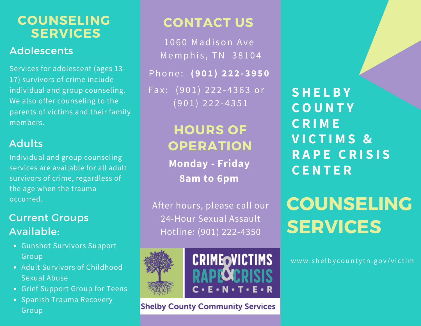### **SERVICES COUNSELING**

#### **Adolescents**

Services for adolescent (ages 13- 17) survivors of crime include individual and group counseling. We also offer counseling to the parents of victims and their family members.

#### Adults

Individual and group counseling services are available for all adult survivors of crime, regardless of the age when the trauma occurred.

### Current Groups Available:

- Gunshot Survivors Support Group
- Adult Survivors of Childhood Sexual Abuse
- Grief Support Group for Teens
- Spanish Trauma Recovery Group

## **CONTACT US**

1060 Madison Ave Memphis, TN 38104 Phone: (901) 222-3950 Fax: (901) 222-4363 or  $(901)$  222-4351

## **HOURS OF OPERATION**

**Monday - Friday 8am to 6pm**

After hours, please call our 24-Hour Sexual Assault Hotline: (901) 222-4350





#### **Shelby County Community Services**

**S H E L B Y C O U N T Y C R I M E V I C T I M S & R A P E C R I S I S C E N T E R**

# **COUNSELING SERVICES**

www.shelbycountytn.gov/victim